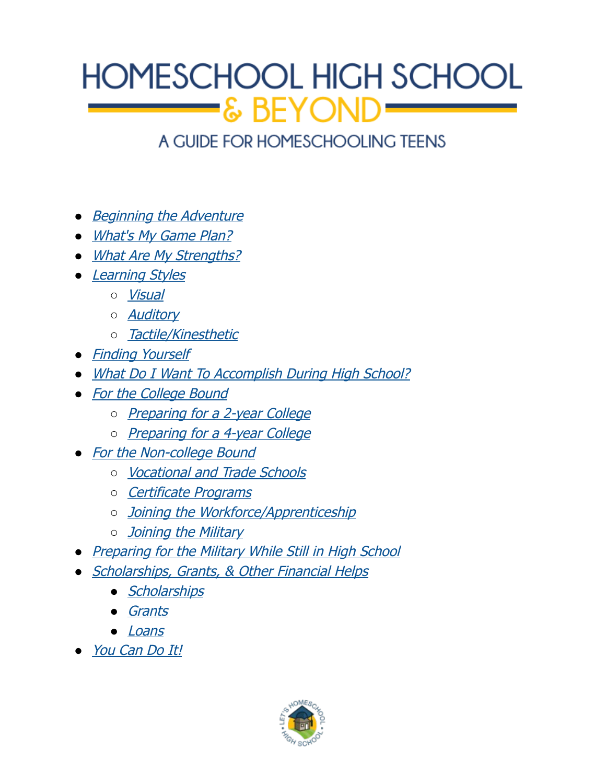# HOMESCHOOL HIGH SCHOOL  $\blacktriangleright$ & BEYOND

### A GUIDE FOR HOMESCHOOLING TEENS

- [Beginning the Adventure](#page-1-0)
- [What's My Game Plan?](#page-2-0)
- [What Are My Strengths?](#page-4-1)
- [Learning Styles](#page-4-0)
	- [Visual](#page-5-2)
	- *[Auditory](#page-5-1)*
	- [Tactile/Kinesthetic](#page-5-0)
- [Finding Yourself](#page-6-0)
- [What Do I Want To Accomplish During High School?](#page-8-2)
- [For the College Bound](#page-8-1)
	- [Preparing for a 2-year College](#page-8-0)
	- o [Preparing for a 4-year College](#page-9-0)
- [For the Non-college Bound](#page-10-1)
	- [Vocational and Trade Schools](#page-10-0)
	- [Certificate Programs](#page-11-1)
	- o [Joining the Workforce/Apprenticeship](#page-11-0)
	- o [Joining the Military](#page-12-0)
- [Preparing for the Military While Still in High School](#page-13-1)
- [Scholarships, Grants, & Other Financial Helps](#page-13-0)
	- [Scholarships](#page-14-2)
	- [Grants](#page-14-1)
	- [Loans](#page-14-0)
- [You Can Do It!](#page-15-0)

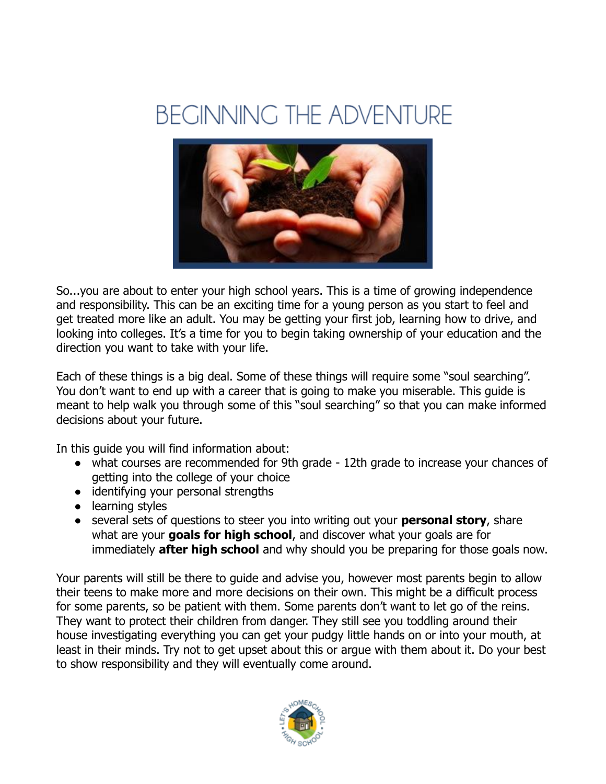## <span id="page-1-0"></span>**BEGINNING THE ADVENTURE**



So...you are about to enter your high school years. This is a time of growing independence and responsibility. This can be an exciting time for a young person as you start to feel and get treated more like an adult. You may be getting your first job, learning how to drive, and looking into colleges. It's a time for you to begin taking ownership of your education and the direction you want to take with your life.

Each of these things is a big deal. Some of these things will require some "soul searching". You don't want to end up with a career that is going to make you miserable. This guide is meant to help walk you through some of this "soul searching" so that you can make informed decisions about your future.

In this guide you will find information about:

- what courses are recommended for 9th grade 12th grade to increase your chances of getting into the college of your choice
- identifying your personal strengths
- learning styles
- several sets of questions to steer you into writing out your **personal story**, share what are your **goals for high school**, and discover what your goals are for immediately **after high school** and why should you be preparing for those goals now.

Your parents will still be there to guide and advise you, however most parents begin to allow their teens to make more and more decisions on their own. This might be a difficult process for some parents, so be patient with them. Some parents don't want to let go of the reins. They want to protect their children from danger. They still see you toddling around their house investigating everything you can get your pudgy little hands on or into your mouth, at least in their minds. Try not to get upset about this or argue with them about it. Do your best to show responsibility and they will eventually come around.

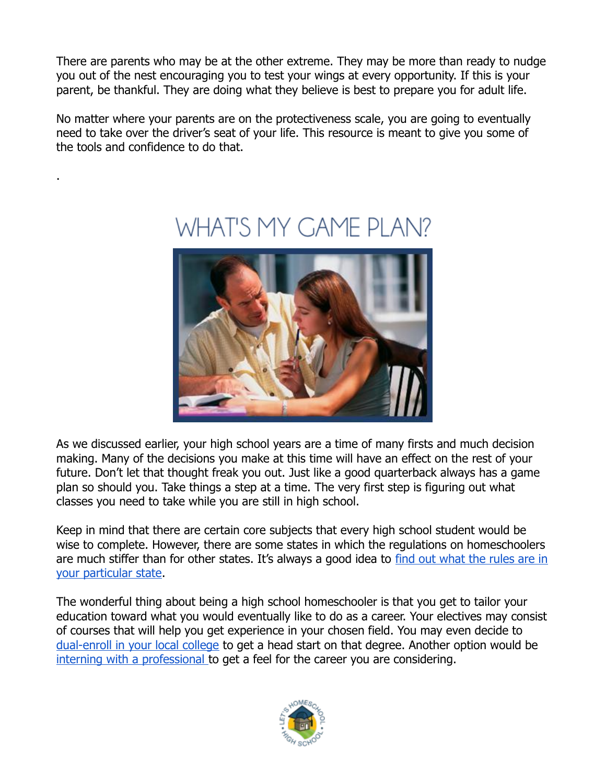There are parents who may be at the other extreme. They may be more than ready to nudge you out of the nest encouraging you to test your wings at every opportunity. If this is your parent, be thankful. They are doing what they believe is best to prepare you for adult life.

No matter where your parents are on the protectiveness scale, you are going to eventually need to take over the driver's seat of your life. This resource is meant to give you some of the tools and confidence to do that.

.



## <span id="page-2-0"></span>WHAT'S MY GAME PLAN?

As we discussed earlier, your high school years are a time of many firsts and much decision making. Many of the decisions you make at this time will have an effect on the rest of your future. Don't let that thought freak you out. Just like a good quarterback always has a game plan so should you. Take things a step at a time. The very first step is figuring out what classes you need to take while you are still in high school.

Keep in mind that there are certain core subjects that every high school student would be wise to complete. However, there are some states in which the regulations on homeschoolers are much stiffer than for other states. It's always a good idea to [find out what the rules are in](http://letshomeschoolhighschool.com/blog/2013/05/23/high-school-homeschooling-laws-state/) [your particular state.](http://letshomeschoolhighschool.com/blog/2013/05/23/high-school-homeschooling-laws-state/)

The wonderful thing about being a high school homeschooler is that you get to tailor your education toward what you would eventually like to do as a career. Your electives may consist of courses that will help you get experience in your chosen field. You may even decide to [dual-enroll in your local college](http://letshomeschoolhighschool.com/dual-enrollment-2/) to get a head start on that degree. Another option would be [interning with a professional t](http://letshomeschoolhighschool.com/high-school-summer-internships/)o get a feel for the career you are considering.

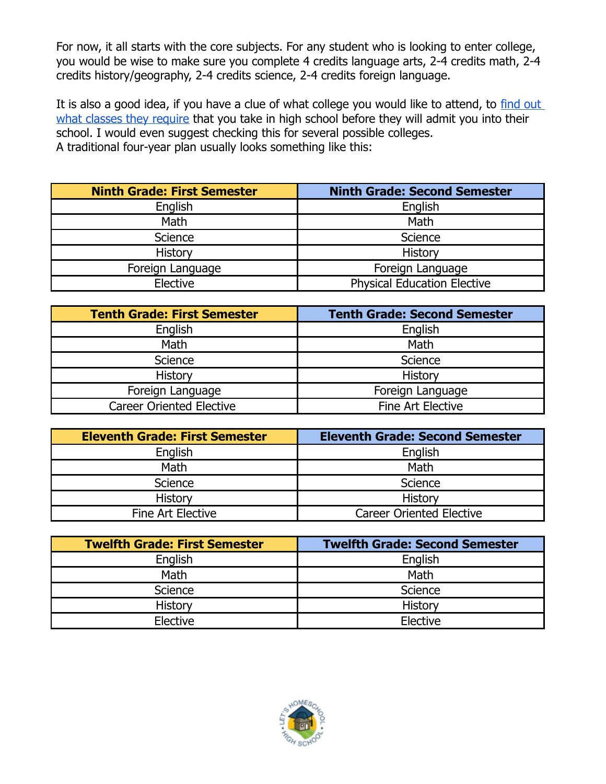For now, it all starts with the core subjects. For any student who is looking to enter college, you would be wise to make sure you complete 4 credits language arts, 2-4 credits math, 2-4 credits history/geography, 2-4 credits science, 2-4 credits foreign language.

It is also a good idea, if you have a clue of what college you would like to attend, to [find out](http://letshomeschoolhighschool.com/blog/2013/08/12/high-school-requirements-higher-education-goals/)  [what classes they require](http://letshomeschoolhighschool.com/blog/2013/08/12/high-school-requirements-higher-education-goals/) that you take in high school before they will admit you into their school. I would even suggest checking this for several possible colleges. A traditional four-year plan usually looks something like this:

| <b>Ninth Grade: First Semester</b> | <b>Ninth Grade: Second Semester</b> |
|------------------------------------|-------------------------------------|
| English                            | English                             |
| Math                               | Math                                |
| Science                            | Science                             |
| History                            | <b>History</b>                      |
| Foreign Language                   | Foreign Language                    |
| Elective                           | <b>Physical Education Elective</b>  |

| <b>Tenth Grade: First Semester</b> | <b>Tenth Grade: Second Semester</b> |
|------------------------------------|-------------------------------------|
| English                            | English                             |
| Math                               | Math                                |
| Science                            | Science                             |
| <b>History</b>                     | <b>History</b>                      |
| Foreign Language                   | Foreign Language                    |
| <b>Career Oriented Elective</b>    | Fine Art Elective                   |

| <b>Eleventh Grade: First Semester</b> | <b>Eleventh Grade: Second Semester</b> |
|---------------------------------------|----------------------------------------|
| English                               | English                                |
| Math                                  | Math                                   |
| Science                               | Science                                |
| History                               | History                                |
| Fine Art Elective                     | <b>Career Oriented Elective</b>        |

| <b>Twelfth Grade: First Semester</b> | <b>Twelfth Grade: Second Semester</b> |
|--------------------------------------|---------------------------------------|
| English                              | English                               |
| Math                                 | Math                                  |
| Science                              | Science                               |
| <b>History</b>                       | History                               |
| Elective                             | Elective                              |

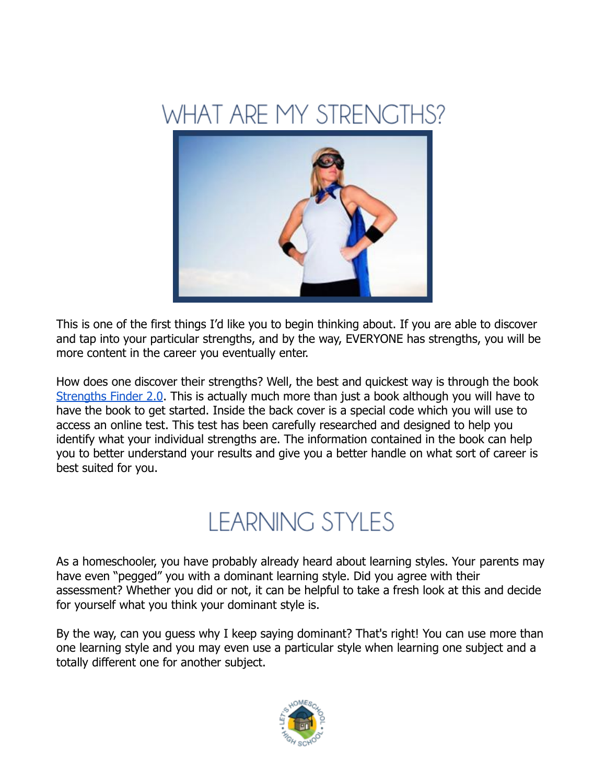<span id="page-4-1"></span>



This is one of the first things I'd like you to begin thinking about. If you are able to discover and tap into your particular strengths, and by the way, EVERYONE has strengths, you will be more content in the career you eventually enter.

How does one discover their strengths? Well, the best and quickest way is through the book [Strengths Finder 2.0.](http://strengths.gallup.com/default.aspx) This is actually much more than just a book although you will have to have the book to get started. Inside the back cover is a special code which you will use to access an online test. This test has been carefully researched and designed to help you identify what your individual strengths are. The information contained in the book can help you to better understand your results and give you a better handle on what sort of career is best suited for you.

## <span id="page-4-0"></span>**LEARNING STYLES**

As a homeschooler, you have probably already heard about learning styles. Your parents may have even "pegged" you with a dominant learning style. Did you agree with their assessment? Whether you did or not, it can be helpful to take a fresh look at this and decide for yourself what you think your dominant style is.

By the way, can you guess why I keep saying dominant? That's right! You can use more than one learning style and you may even use a particular style when learning one subject and a totally different one for another subject.

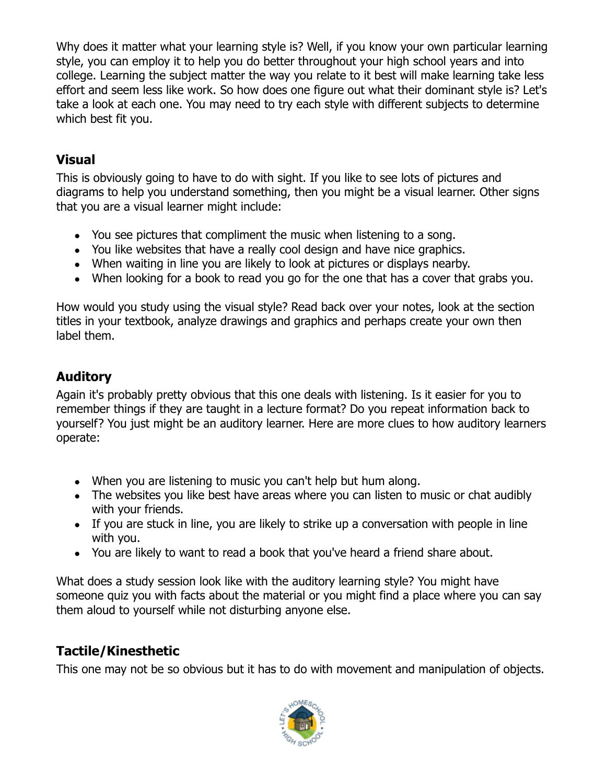Why does it matter what your learning style is? Well, if you know your own particular learning style, you can employ it to help you do better throughout your high school years and into college. Learning the subject matter the way you relate to it best will make learning take less effort and seem less like work. So how does one figure out what their dominant style is? Let's take a look at each one. You may need to try each style with different subjects to determine which best fit you.

### <span id="page-5-2"></span>**Visual**

This is obviously going to have to do with sight. If you like to see lots of pictures and diagrams to help you understand something, then you might be a visual learner. Other signs that you are a visual learner might include:

- You see pictures that compliment the music when listening to a song.
- You like websites that have a really cool design and have nice graphics.
- When waiting in line you are likely to look at pictures or displays nearby.
- When looking for a book to read you go for the one that has a cover that grabs you.

How would you study using the visual style? Read back over your notes, look at the section titles in your textbook, analyze drawings and graphics and perhaps create your own then label them.

### <span id="page-5-1"></span>**Auditory**

Again it's probably pretty obvious that this one deals with listening. Is it easier for you to remember things if they are taught in a lecture format? Do you repeat information back to yourself? You just might be an auditory learner. Here are more clues to how auditory learners operate:

- When you are listening to music you can't help but hum along.
- The websites you like best have areas where you can listen to music or chat audibly with your friends.
- If you are stuck in line, you are likely to strike up a conversation with people in line with you.
- You are likely to want to read a book that you've heard a friend share about.

What does a study session look like with the auditory learning style? You might have someone quiz you with facts about the material or you might find a place where you can say them aloud to yourself while not disturbing anyone else.

### <span id="page-5-0"></span>**Tactile/Kinesthetic**

This one may not be so obvious but it has to do with movement and manipulation of objects.

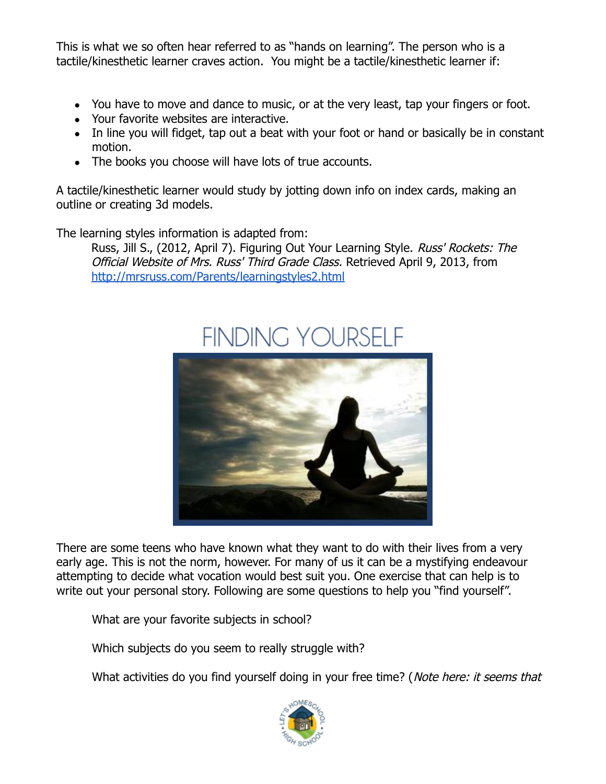This is what we so often hear referred to as "hands on learning". The person who is a tactile/kinesthetic learner craves action. You might be a tactile/kinesthetic learner if:

- You have to move and dance to music, or at the very least, tap your fingers or foot.
- Your favorite websites are interactive.
- In line you will fidget, tap out a beat with your foot or hand or basically be in constant motion.
- The books you choose will have lots of true accounts.

A tactile/kinesthetic learner would study by jotting down info on index cards, making an outline or creating 3d models.

The learning styles information is adapted from:

Russ, Jill S., (2012, April 7). Figuring Out Your Learning Style. Russ' Rockets: The Official Website of Mrs. Russ' Third Grade Class. Retrieved April 9, 2013, from <http://mrsruss.com/Parents/learningstyles2.html>

## <span id="page-6-0"></span>FINDING YOURSELF



There are some teens who have known what they want to do with their lives from a very early age. This is not the norm, however. For many of us it can be a mystifying endeavour attempting to decide what vocation would best suit you. One exercise that can help is to write out your personal story. Following are some questions to help you "find yourself".

What are your favorite subjects in school?

Which subjects do you seem to really struggle with?

What activities do you find yourself doing in your free time? (Note here: it seems that

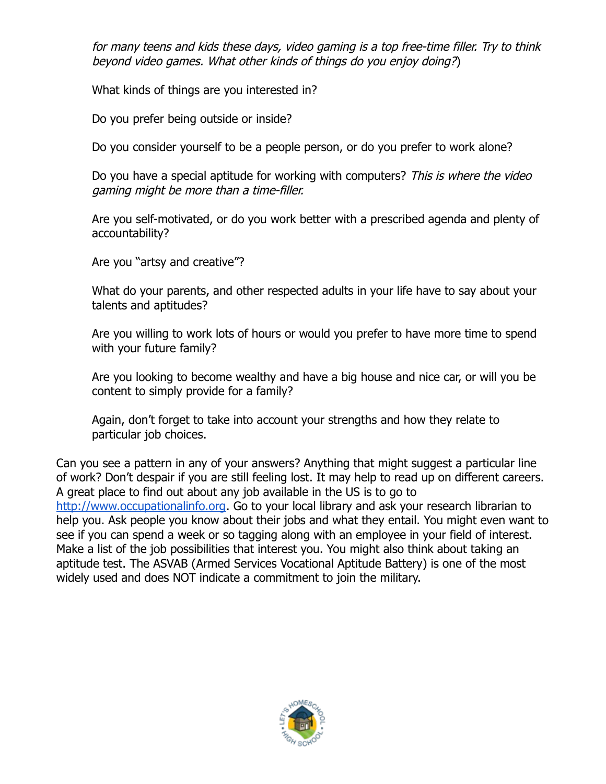for many teens and kids these days, video gaming is a top free-time filler. Try to think beyond video games. What other kinds of things do you enjoy doing?)

What kinds of things are you interested in?

Do you prefer being outside or inside?

Do you consider yourself to be a people person, or do you prefer to work alone?

Do you have a special aptitude for working with computers? This is where the video gaming might be more than a time-filler.

Are you self-motivated, or do you work better with a prescribed agenda and plenty of accountability?

Are you "artsy and creative"?

What do your parents, and other respected adults in your life have to say about your talents and aptitudes?

Are you willing to work lots of hours or would you prefer to have more time to spend with your future family?

Are you looking to become wealthy and have a big house and nice car, or will you be content to simply provide for a family?

Again, don't forget to take into account your strengths and how they relate to particular job choices.

Can you see a pattern in any of your answers? Anything that might suggest a particular line of work? Don't despair if you are still feeling lost. It may help to read up on different careers. A great place to find out about any job available in the US is to go to [http://www.occupationalinfo.org.](http://www.occupationalinfo.org/) Go to your local library and ask your research librarian to help you. Ask people you know about their jobs and what they entail. You might even want to see if you can spend a week or so tagging along with an employee in your field of interest. Make a list of the job possibilities that interest you. You might also think about taking an aptitude test. The ASVAB (Armed Services Vocational Aptitude Battery) is one of the most widely used and does NOT indicate a commitment to join the military.

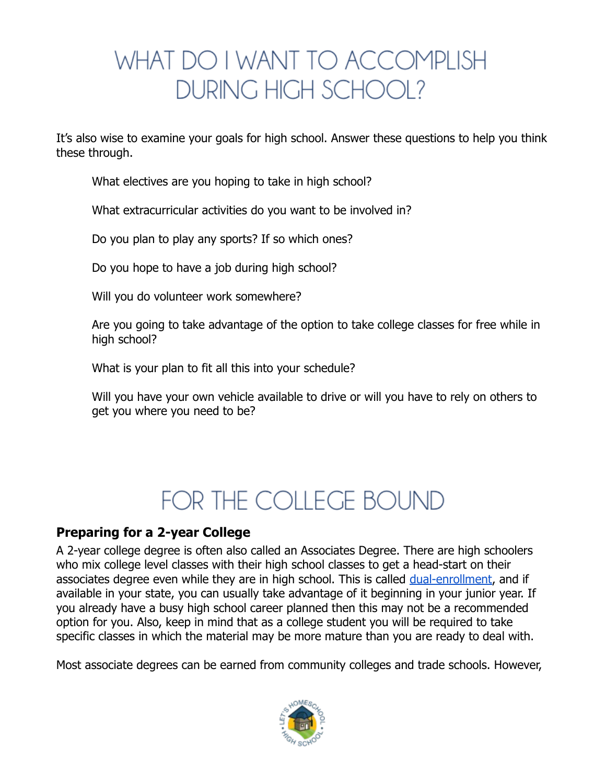## <span id="page-8-2"></span>WHAT DO I WANT TO ACCOMPLISH DURING HIGH SCHOOL?

It's also wise to examine your goals for high school. Answer these questions to help you think these through.

What electives are you hoping to take in high school?

What extracurricular activities do you want to be involved in?

Do you plan to play any sports? If so which ones?

Do you hope to have a job during high school?

Will you do volunteer work somewhere?

Are you going to take advantage of the option to take college classes for free while in high school?

What is your plan to fit all this into your schedule?

Will you have your own vehicle available to drive or will you have to rely on others to get you where you need to be?

## <span id="page-8-1"></span>FOR THE COLLEGE BOUND

### <span id="page-8-0"></span>**Preparing for a 2-year College**

A 2-year college degree is often also called an Associates Degree. There are high schoolers who mix college level classes with their high school classes to get a head-start on their associates degree even while they are in high school. This is called [dual-enrollment,](http://letshomeschoolhighschool.com/dual-enrollment-2/) and if available in your state, you can usually take advantage of it beginning in your junior year. If you already have a busy high school career planned then this may not be a recommended option for you. Also, keep in mind that as a college student you will be required to take specific classes in which the material may be more mature than you are ready to deal with.

Most associate degrees can be earned from community colleges and trade schools. However,

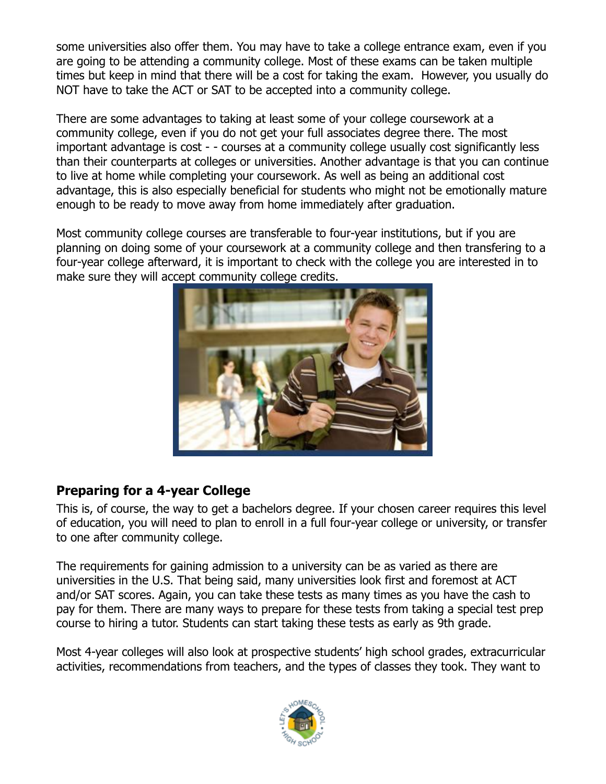some universities also offer them. You may have to take a college entrance exam, even if you are going to be attending a community college. Most of these exams can be taken multiple times but keep in mind that there will be a cost for taking the exam. However, you usually do NOT have to take the ACT or SAT to be accepted into a community college.

There are some advantages to taking at least some of your college coursework at a community college, even if you do not get your full associates degree there. The most important advantage is cost - - courses at a community college usually cost significantly less than their counterparts at colleges or universities. Another advantage is that you can continue to live at home while completing your coursework. As well as being an additional cost advantage, this is also especially beneficial for students who might not be emotionally mature enough to be ready to move away from home immediately after graduation.

Most community college courses are transferable to four-year institutions, but if you are planning on doing some of your coursework at a community college and then transfering to a four-year college afterward, it is important to check with the college you are interested in to make sure they will accept community college credits.



### <span id="page-9-0"></span>**Preparing for a 4-year College**

This is, of course, the way to get a bachelors degree. If your chosen career requires this level of education, you will need to plan to enroll in a full four-year college or university, or transfer to one after community college.

The requirements for gaining admission to a university can be as varied as there are universities in the U.S. That being said, many universities look first and foremost at ACT and/or SAT scores. Again, you can take these tests as many times as you have the cash to pay for them. There are many ways to prepare for these tests from taking a special test prep course to hiring a tutor. Students can start taking these tests as early as 9th grade.

Most 4-year colleges will also look at prospective students' high school grades, extracurricular activities, recommendations from teachers, and the types of classes they took. They want to

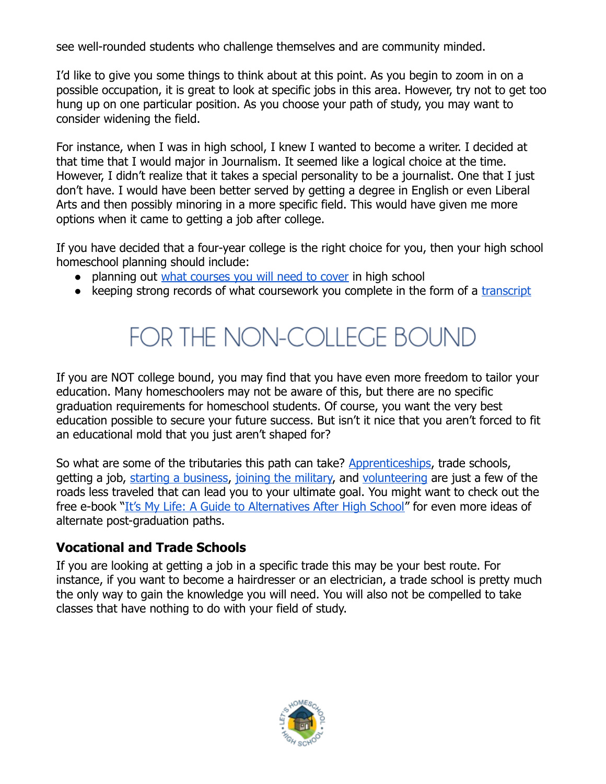see well-rounded students who challenge themselves and are community minded.

I'd like to give you some things to think about at this point. As you begin to zoom in on a possible occupation, it is great to look at specific jobs in this area. However, try not to get too hung up on one particular position. As you choose your path of study, you may want to consider widening the field.

For instance, when I was in high school, I knew I wanted to become a writer. I decided at that time that I would major in Journalism. It seemed like a logical choice at the time. However, I didn't realize that it takes a special personality to be a journalist. One that I just don't have. I would have been better served by getting a degree in English or even Liberal Arts and then possibly minoring in a more specific field. This would have given me more options when it came to getting a job after college.

If you have decided that a four-year college is the right choice for you, then your high school homeschool planning should include:

- planning out [what courses you will need to cover](http://letshomeschoolhighschool.com/blog/2012/07/23/download-homeschool-high-school-planner-college-preparation/#.UBSdwrSwyZg) in high school
- keeping strong records of what coursework you complete in the form of a [transcript](http://letshomeschoolhighschool.com/blog/2012/07/23/download-homeschool-high-school-transcript-template/)

## <span id="page-10-1"></span>FOR THE NON-COLLEGE BOUND

If you are NOT college bound, you may find that you have even more freedom to tailor your education. Many homeschoolers may not be aware of this, but there are no specific graduation requirements for homeschool students. Of course, you want the very best education possible to secure your future success. But isn't it nice that you aren't forced to fit an educational mold that you just aren't shaped for?

So what are some of the tributaries this path can take? [Apprenticeships,](http://www.google.com/url?q=http%3A%2F%2Fletshomeschoolhighschool.com%2Fblog%2F2013%2F03%2F05%2Fapprenticeship-vs-college%2F%23.UiD4LxusiSo&sa=D&sntz=1&usg=AFQjCNEyl9QD7ALbwLsdfBtCMvxZybQSRg) trade schools, getting a job, [starting a business,](http://letshomeschoolhighschool.com/blog/2013/06/14/homeschool-entrepreneur/) [joining the military,](http://letshomeschoolhighschool.com/homeschool-graduates-military/) and [volunteering](http://www.volunteermatch.org/) are just a few of the roads less traveled that can lead you to your ultimate goal. You might want to check out the free e-book ["It's My Life: A Guide to Alternatives After High School"](http://afsc.org/sites/afsc.civicactions.net/files/documents/itsmylife_0.pdf) for even more ideas of alternate post-graduation paths.

### <span id="page-10-0"></span>**Vocational and Trade Schools**

If you are looking at getting a job in a specific trade this may be your best route. For instance, if you want to become a hairdresser or an electrician, a trade school is pretty much the only way to gain the knowledge you will need. You will also not be compelled to take classes that have nothing to do with your field of study.

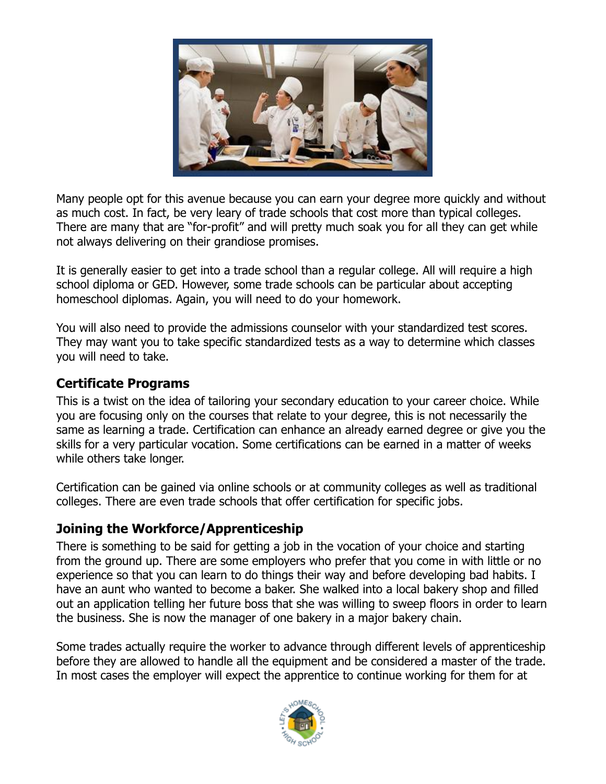

Many people opt for this avenue because you can earn your degree more quickly and without as much cost. In fact, be very leary of trade schools that cost more than typical colleges. There are many that are "for-profit" and will pretty much soak you for all they can get while not always delivering on their grandiose promises.

It is generally easier to get into a trade school than a regular college. All will require a high school diploma or GED. However, some trade schools can be particular about accepting homeschool diplomas. Again, you will need to do your homework.

You will also need to provide the admissions counselor with your standardized test scores. They may want you to take specific standardized tests as a way to determine which classes you will need to take.

### <span id="page-11-1"></span>**Certificate Programs**

This is a twist on the idea of tailoring your secondary education to your career choice. While you are focusing only on the courses that relate to your degree, this is not necessarily the same as learning a trade. Certification can enhance an already earned degree or give you the skills for a very particular vocation. Some certifications can be earned in a matter of weeks while others take longer.

Certification can be gained via online schools or at community colleges as well as traditional colleges. There are even trade schools that offer certification for specific jobs.

### <span id="page-11-0"></span>**Joining the Workforce/Apprenticeship**

There is something to be said for getting a job in the vocation of your choice and starting from the ground up. There are some employers who prefer that you come in with little or no experience so that you can learn to do things their way and before developing bad habits. I have an aunt who wanted to become a baker. She walked into a local bakery shop and filled out an application telling her future boss that she was willing to sweep floors in order to learn the business. She is now the manager of one bakery in a major bakery chain.

Some trades actually require the worker to advance through different levels of apprenticeship before they are allowed to handle all the equipment and be considered a master of the trade. In most cases the employer will expect the apprentice to continue working for them for at

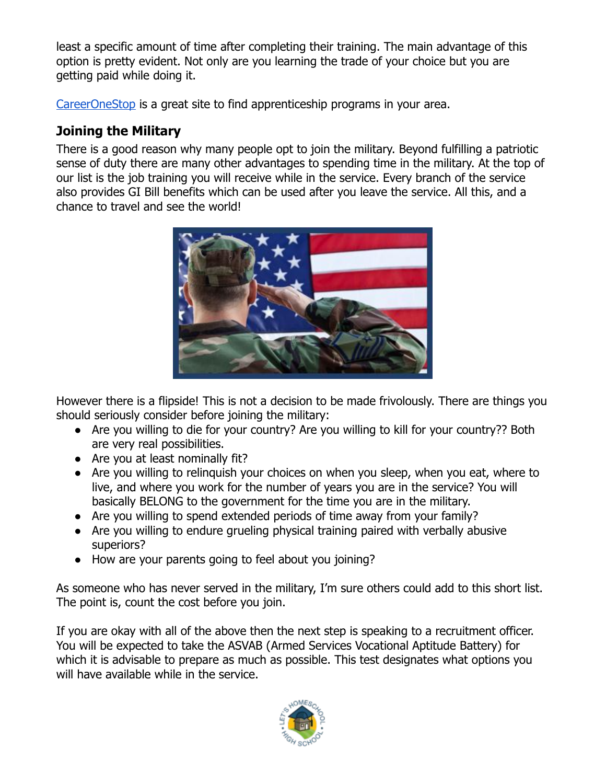least a specific amount of time after completing their training. The main advantage of this option is pretty evident. Not only are you learning the trade of your choice but you are getting paid while doing it.

[CareerOneStop](http://www.careeronestop.org/educationtraining/find/apprenticeshipoffices.aspx) is a great site to find apprenticeship programs in your area.

### <span id="page-12-0"></span>**Joining the Military**

There is a good reason why many people opt to join the military. Beyond fulfilling a patriotic sense of duty there are many other advantages to spending time in the military. At the top of our list is the job training you will receive while in the service. Every branch of the service also provides GI Bill benefits which can be used after you leave the service. All this, and a chance to travel and see the world!



However there is a flipside! This is not a decision to be made frivolously. There are things you should seriously consider before joining the military:

- Are you willing to die for your country? Are you willing to kill for your country?? Both are very real possibilities.
- Are you at least nominally fit?
- Are you willing to relinguish your choices on when you sleep, when you eat, where to live, and where you work for the number of years you are in the service? You will basically BELONG to the government for the time you are in the military.
- Are you willing to spend extended periods of time away from your family?
- Are you willing to endure grueling physical training paired with verbally abusive superiors?
- How are your parents going to feel about you joining?

As someone who has never served in the military, I'm sure others could add to this short list. The point is, count the cost before you join.

If you are okay with all of the above then the next step is speaking to a recruitment officer. You will be expected to take the ASVAB (Armed Services Vocational Aptitude Battery) for which it is advisable to prepare as much as possible. This test designates what options you will have available while in the service.

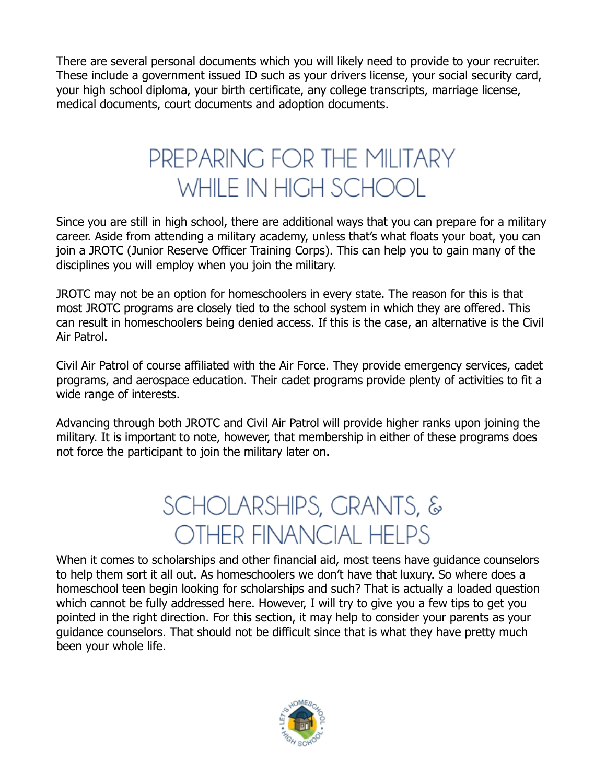There are several personal documents which you will likely need to provide to your recruiter. These include a government issued ID such as your drivers license, your social security card, your high school diploma, your birth certificate, any college transcripts, marriage license, medical documents, court documents and adoption documents.

## <span id="page-13-1"></span>PREPARING FOR THE MILITARY WHILE IN HIGH SCHOOL

Since you are still in high school, there are additional ways that you can prepare for a military career. Aside from attending a military academy, unless that's what floats your boat, you can join a JROTC (Junior Reserve Officer Training Corps). This can help you to gain many of the disciplines you will employ when you join the military.

JROTC may not be an option for homeschoolers in every state. The reason for this is that most JROTC programs are closely tied to the school system in which they are offered. This can result in homeschoolers being denied access. If this is the case, an alternative is the Civil Air Patrol.

Civil Air Patrol of course affiliated with the Air Force. They provide emergency services, cadet programs, and aerospace education. Their cadet programs provide plenty of activities to fit a wide range of interests.

Advancing through both JROTC and Civil Air Patrol will provide higher ranks upon joining the military. It is important to note, however, that membership in either of these programs does not force the participant to join the military later on.

## <span id="page-13-0"></span>**SCHOLARSHIPS, GRANTS, & OTHER FINANCIAL HELPS**

When it comes to scholarships and other financial aid, most teens have guidance counselors to help them sort it all out. As homeschoolers we don't have that luxury. So where does a homeschool teen begin looking for scholarships and such? That is actually a loaded question which cannot be fully addressed here. However, I will try to give you a few tips to get you pointed in the right direction. For this section, it may help to consider your parents as your guidance counselors. That should not be difficult since that is what they have pretty much been your whole life.

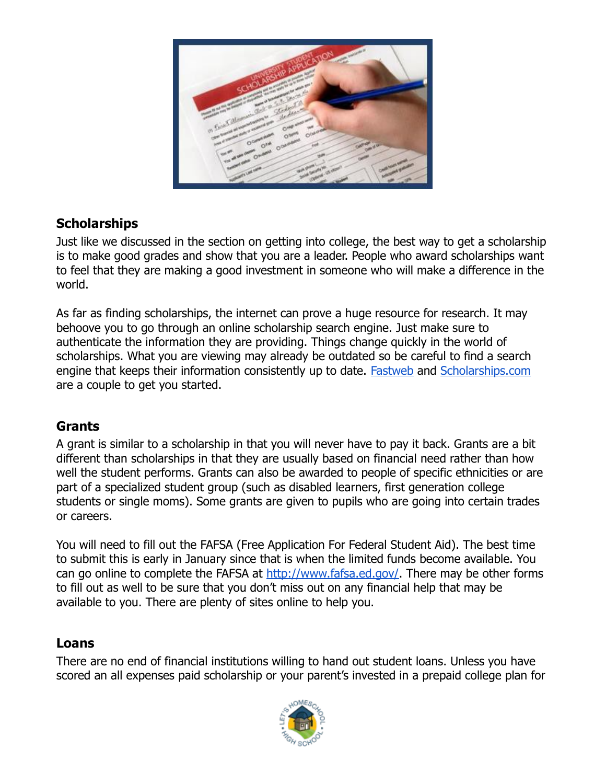

### <span id="page-14-2"></span>**Scholarships**

Just like we discussed in the section on getting into college, the best way to get a scholarship is to make good grades and show that you are a leader. People who award scholarships want to feel that they are making a good investment in someone who will make a difference in the world.

As far as finding scholarships, the internet can prove a huge resource for research. It may behoove you to go through an online scholarship search engine. Just make sure to authenticate the information they are providing. Things change quickly in the world of scholarships. What you are viewing may already be outdated so be careful to find a search engine that keeps their information consistently up to date. **Fastweb** and **Scholarships.com** are a couple to get you started.

### <span id="page-14-1"></span>**Grants**

A grant is similar to a scholarship in that you will never have to pay it back. Grants are a bit different than scholarships in that they are usually based on financial need rather than how well the student performs. Grants can also be awarded to people of specific ethnicities or are part of a specialized student group (such as disabled learners, first generation college students or single moms). Some grants are given to pupils who are going into certain trades or careers.

You will need to fill out the FAFSA (Free Application For Federal Student Aid). The best time to submit this is early in January since that is when the limited funds become available. You can go online to complete the FAFSA at [http://www.fafsa.ed.gov/.](http://www.fafsa.ed.gov/) There may be other forms to fill out as well to be sure that you don't miss out on any financial help that may be available to you. There are plenty of sites online to help you.

### <span id="page-14-0"></span>**Loans**

There are no end of financial institutions willing to hand out student loans. Unless you have scored an all expenses paid scholarship or your parent's invested in a prepaid college plan for